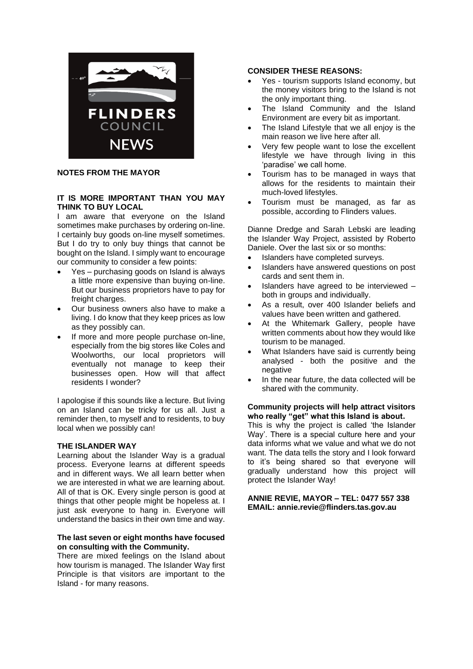

**NOTES FROM THE MAYOR**

## **IT IS MORE IMPORTANT THAN YOU MAY THINK TO BUY LOCAL**

I am aware that everyone on the Island sometimes make purchases by ordering on-line. I certainly buy goods on-line myself sometimes. But I do try to only buy things that cannot be bought on the Island. I simply want to encourage our community to consider a few points:

- Yes purchasing goods on Island is always a little more expensive than buying on-line. But our business proprietors have to pay for freight charges.
- Our business owners also have to make a living. I do know that they keep prices as low as they possibly can.
- If more and more people purchase on-line. especially from the big stores like Coles and Woolworths, our local proprietors will eventually not manage to keep their businesses open. How will that affect residents I wonder?

I apologise if this sounds like a lecture. But living on an Island can be tricky for us all. Just a reminder then, to myself and to residents, to buy local when we possibly can!

## **THE ISLANDER WAY**

Learning about the Islander Way is a gradual process. Everyone learns at different speeds and in different ways. We all learn better when we are interested in what we are learning about. All of that is OK. Every single person is good at things that other people might be hopeless at. I just ask everyone to hang in. Everyone will understand the basics in their own time and way.

### **The last seven or eight months have focused on consulting with the Community.**

There are mixed feelings on the Island about how tourism is managed. The Islander Way first Principle is that visitors are important to the Island - for many reasons.

## **CONSIDER THESE REASONS:**

- Yes tourism supports Island economy, but the money visitors bring to the Island is not the only important thing.
- The Island Community and the Island Environment are every bit as important.
- The Island Lifestyle that we all enjoy is the main reason we live here after all.
- Very few people want to lose the excellent lifestyle we have through living in this 'paradise' we call home.
- Tourism has to be managed in ways that allows for the residents to maintain their much-loved lifestyles.
- Tourism must be managed, as far as possible, according to Flinders values.

Dianne Dredge and Sarah Lebski are leading the Islander Way Project, assisted by Roberto Daniele. Over the last six or so months:

- Islanders have completed surveys.
- Islanders have answered questions on post cards and sent them in.
- Islanders have agreed to be interviewed both in groups and individually.
- As a result, over 400 Islander beliefs and values have been written and gathered.
- At the Whitemark Gallery, people have written comments about how they would like tourism to be managed.
- What Islanders have said is currently being analysed - both the positive and the negative
- In the near future, the data collected will be shared with the community.

### **Community projects will help attract visitors who really "get" what this Island is about.**

This is why the project is called 'the Islander Way'. There is a special culture here and your data informs what we value and what we do not want. The data tells the story and I look forward to it's being shared so that everyone will gradually understand how this project will protect the Islander Way!

### **ANNIE REVIE, MAYOR – TEL: 0477 557 338 EMAIL: annie.revie@flinders.tas.gov.au**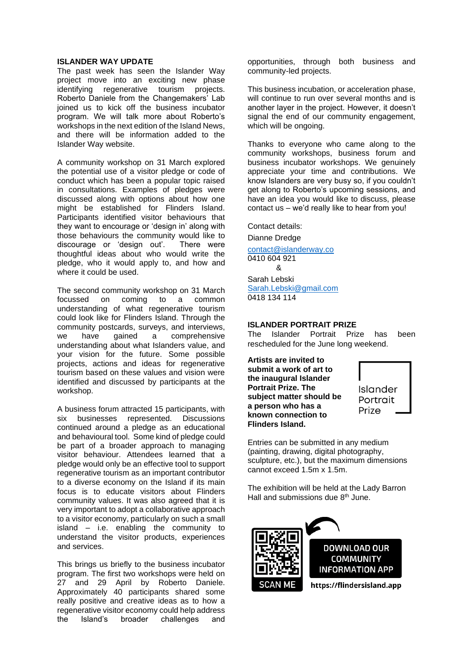### **ISLANDER WAY UPDATE**

The past week has seen the Islander Way project move into an exciting new phase identifying regenerative tourism projects. Roberto Daniele from the Changemakers' Lab joined us to kick off the business incubator program. We will talk more about Roberto's workshops in the next edition of the Island News, and there will be information added to the Islander Way website.

A community workshop on 31 March explored the potential use of a visitor pledge or code of conduct which has been a popular topic raised in consultations. Examples of pledges were discussed along with options about how one might be established for Flinders Island. Participants identified visitor behaviours that they want to encourage or 'design in' along with those behaviours the community would like to discourage or 'design out'. There were thoughtful ideas about who would write the pledge, who it would apply to, and how and where it could be used.

The second community workshop on 31 March focussed on coming to a common understanding of what regenerative tourism could look like for Flinders Island. Through the community postcards, surveys, and interviews, we have gained a comprehensive understanding about what Islanders value, and your vision for the future. Some possible projects, actions and ideas for regenerative tourism based on these values and vision were identified and discussed by participants at the workshop.

A business forum attracted 15 participants, with six businesses represented. Discussions continued around a pledge as an educational and behavioural tool. Some kind of pledge could be part of a broader approach to managing visitor behaviour. Attendees learned that a pledge would only be an effective tool to support regenerative tourism as an important contributor to a diverse economy on the Island if its main focus is to educate visitors about Flinders community values. It was also agreed that it is very important to adopt a collaborative approach to a visitor economy, particularly on such a small island – i.e. enabling the community to understand the visitor products, experiences and services.

This brings us briefly to the business incubator program. The first two workshops were held on 27 and 29 April by Roberto Daniele. Approximately 40 participants shared some really positive and creative ideas as to how a regenerative visitor economy could help address the Island's broader challenges and opportunities, through both business and community-led projects.

This business incubation, or acceleration phase, will continue to run over several months and is another layer in the project. However, it doesn't signal the end of our community engagement, which will be ongoing.

Thanks to everyone who came along to the community workshops, business forum and business incubator workshops. We genuinely appreciate your time and contributions. We know Islanders are very busy so, if you couldn't get along to Roberto's upcoming sessions, and have an idea you would like to discuss, please contact us – we'd really like to hear from you!

Contact details:

Dianne Dredge [contact@islanderway.co](mailto:contact@islanderway.co) 0410 604 921 & Sarah Lebski [Sarah.Lebski@gmail.com](mailto:Sarah.Lebski@gmail.com) 0418 134 114

### **ISLANDER PORTRAIT PRIZE**

The Islander Portrait Prize has been rescheduled for the June long weekend.

**Artists are invited to submit a work of art to the inaugural Islander Portrait Prize. The subject matter should be a person who has a known connection to Flinders Island.**



Entries can be submitted in any medium (painting, drawing, digital photography, sculpture, etc.), but the maximum dimensions cannot exceed 1.5m x 1.5m.

The exhibition will be held at the Lady Barron Hall and submissions due 8th June.